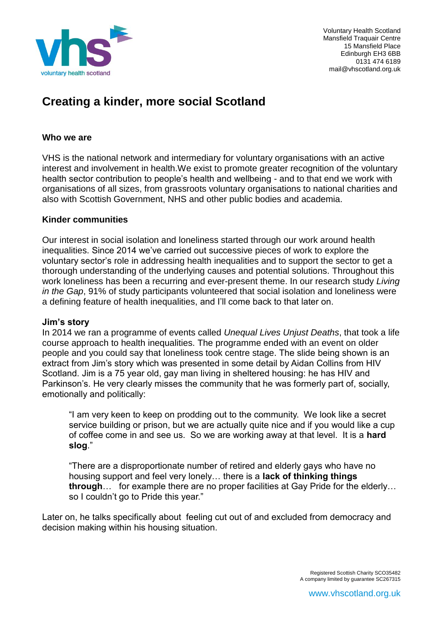

Voluntary Health Scotland Mansfield Traquair Centre 15 Mansfield Place Edinburgh EH3 6BB 0131 474 6189 mail@vhscotland.org.uk

# **Creating a kinder, more social Scotland**

#### **Who we are**

VHS is the national network and intermediary for voluntary organisations with an active interest and involvement in health.We exist to promote greater recognition of the voluntary health sector contribution to people's health and wellbeing - and to that end we work with organisations of all sizes, from grassroots voluntary organisations to national charities and also with Scottish Government, NHS and other public bodies and academia.

#### **Kinder communities**

Our interest in social isolation and loneliness started through our work around health inequalities. Since 2014 we've carried out successive pieces of work to explore the voluntary sector's role in addressing health inequalities and to support the sector to get a thorough understanding of the underlying causes and potential solutions. Throughout this work loneliness has been a recurring and ever-present theme. In our research study *Living in the Gap*, 91% of study participants volunteered that social isolation and loneliness were a defining feature of health inequalities, and I'll come back to that later on.

#### **Jim's story**

In 2014 we ran a programme of events called *Unequal Lives Unjust Deaths*, that took a life course approach to health inequalities. The programme ended with an event on older people and you could say that loneliness took centre stage. The slide being shown is an extract from Jim's story which was presented in some detail by Aidan Collins from HIV Scotland. Jim is a 75 year old, gay man living in sheltered housing: he has HIV and Parkinson's. He very clearly misses the community that he was formerly part of, socially, emotionally and politically:

"I am very keen to keep on prodding out to the community. We look like a secret service building or prison, but we are actually quite nice and if you would like a cup of coffee come in and see us. So we are working away at that level. It is a **hard slog**."

"There are a disproportionate number of retired and elderly gays who have no housing support and feel very lonely… there is a **lack of thinking things through**… for example there are no proper facilities at Gay Pride for the elderly… so I couldn't go to Pride this year."

Later on, he talks specifically about feeling cut out of and excluded from democracy and decision making within his housing situation.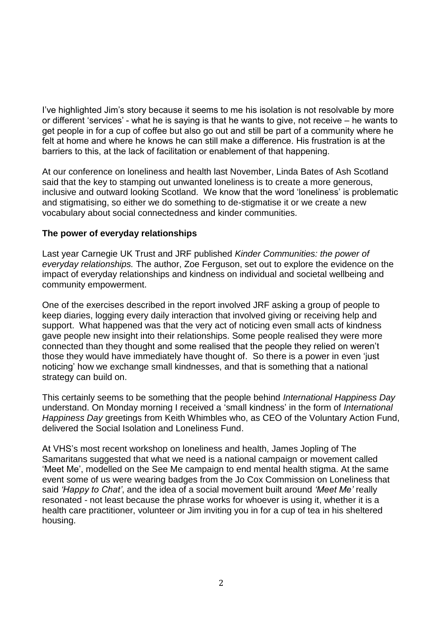I've highlighted Jim's story because it seems to me his isolation is not resolvable by more or different 'services' - what he is saying is that he wants to give, not receive – he wants to get people in for a cup of coffee but also go out and still be part of a community where he felt at home and where he knows he can still make a difference. His frustration is at the barriers to this, at the lack of facilitation or enablement of that happening.

At our conference on loneliness and health last November, Linda Bates of Ash Scotland said that the key to stamping out unwanted loneliness is to create a more generous, inclusive and outward looking Scotland. We know that the word 'loneliness' is problematic and stigmatising, so either we do something to de-stigmatise it or we create a new vocabulary about social connectedness and kinder communities.

#### **The power of everyday relationships**

Last year Carnegie UK Trust and JRF published *Kinder Communities: the power of everyday relationships.* The author, Zoe Ferguson, set out to explore the evidence on the impact of everyday relationships and kindness on individual and societal wellbeing and community empowerment.

One of the exercises described in the report involved JRF asking a group of people to keep diaries, logging every daily interaction that involved giving or receiving help and support. What happened was that the very act of noticing even small acts of kindness gave people new insight into their relationships. Some people realised they were more connected than they thought and some realised that the people they relied on weren't those they would have immediately have thought of. So there is a power in even 'just noticing' how we exchange small kindnesses, and that is something that a national strategy can build on.

This certainly seems to be something that the people behind *International Happiness Day* understand. On Monday morning I received a 'small kindness' in the form of *International Happiness Day* greetings from Keith Whimbles who, as CEO of the Voluntary Action Fund, delivered the Social Isolation and Loneliness Fund.

At VHS's most recent workshop on loneliness and health, James Jopling of The Samaritans suggested that what we need is a national campaign or movement called 'Meet Me', modelled on the See Me campaign to end mental health stigma. At the same event some of us were wearing badges from the Jo Cox Commission on Loneliness that said *'Happy to Chat'*, and the idea of a social movement built around *'Meet Me'* really resonated - not least because the phrase works for whoever is using it, whether it is a health care practitioner, volunteer or Jim inviting you in for a cup of tea in his sheltered housing.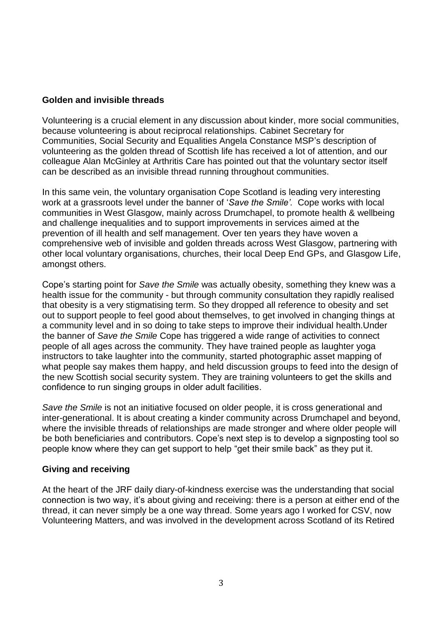# **Golden and invisible threads**

Volunteering is a crucial element in any discussion about kinder, more social communities, because volunteering is about reciprocal relationships. Cabinet Secretary for Communities, Social Security and Equalities Angela Constance MSP's description of volunteering as the golden thread of Scottish life has received a lot of attention, and our colleague Alan McGinley at Arthritis Care has pointed out that the voluntary sector itself can be described as an invisible thread running throughout communities.

In this same vein, the voluntary organisation Cope Scotland is leading very interesting work at a grassroots level under the banner of '*Save the Smile'.* Cope works with local communities in West Glasgow, mainly across Drumchapel, to promote health & wellbeing and challenge inequalities and to support improvements in services aimed at the prevention of ill health and self management. Over ten years they have woven a comprehensive web of invisible and golden threads across West Glasgow, partnering with other local voluntary organisations, churches, their local Deep End GPs, and Glasgow Life, amongst others.

Cope's starting point for *Save the Smile* was actually obesity, something they knew was a health issue for the community - but through community consultation they rapidly realised that obesity is a very stigmatising term. So they dropped all reference to obesity and set out to support people to feel good about themselves, to get involved in changing things at a community level and in so doing to take steps to improve their individual health.Under the banner of *Save the Smile* Cope has triggered a wide range of activities to connect people of all ages across the community. They have trained people as laughter yoga instructors to take laughter into the community, started photographic asset mapping of what people say makes them happy, and held discussion groups to feed into the design of the new Scottish social security system. They are training volunteers to get the skills and confidence to run singing groups in older adult facilities.

*Save the Smile* is not an initiative focused on older people, it is cross generational and inter-generational. It is about creating a kinder community across Drumchapel and beyond, where the invisible threads of relationships are made stronger and where older people will be both beneficiaries and contributors. Cope's next step is to develop a signposting tool so people know where they can get support to help "get their smile back" as they put it.

## **Giving and receiving**

At the heart of the JRF daily diary-of-kindness exercise was the understanding that social connection is two way, it's about giving and receiving: there is a person at either end of the thread, it can never simply be a one way thread. Some years ago I worked for CSV, now Volunteering Matters, and was involved in the development across Scotland of its Retired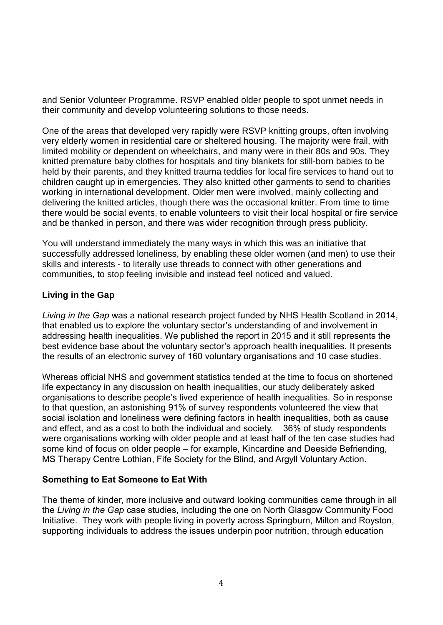and Senior Volunteer Programme. RSVP enabled older people to spot unmet needs in their community and develop volunteering solutions to those needs.

One of the areas that developed very rapidly were RSVP knitting groups, often involving very elderly women in residential care or sheltered housing. The majority were frail, with limited mobility or dependent on wheelchairs, and many were in their 80s and 90s. They knitted premature baby clothes for hospitals and tiny blankets for still-born babies to be held by their parents, and they knitted trauma teddies for local fire services to hand out to children caught up in emergencies. They also knitted other garments to send to charities working in international development. Older men were involved, mainly collecting and delivering the knitted articles, though there was the occasional knitter. From time to time there would be social events, to enable volunteers to visit their local hospital or fire service and be thanked in person, and there was wider recognition through press publicity.

You will understand immediately the many ways in which this was an initiative that successfully addressed loneliness, by enabling these older women (and men) to use their skills and interests - to literally use threads to connect with other generations and communities, to stop feeling invisible and instead feel noticed and valued.

# **Living in the Gap**

*Living in the Gap* was a national research project funded by NHS Health Scotland in 2014, that enabled us to explore the voluntary sector's understanding of and involvement in addressing health inequalities. We published the report in 2015 and it still represents the best evidence base about the voluntary sector's approach health inequalities. It presents the results of an electronic survey of 160 voluntary organisations and 10 case studies.

Whereas official NHS and government statistics tended at the time to focus on shortened life expectancy in any discussion on health inequalities, our study deliberately asked organisations to describe people's lived experience of health inequalities. So in response to that question, an astonishing 91% of survey respondents volunteered the view that social isolation and loneliness were defining factors in health inequalities, both as cause and effect, and as a cost to both the individual and society. 36% of study respondents were organisations working with older people and at least half of the ten case studies had some kind of focus on older people – for example, Kincardine and Deeside Befriending, MS Therapy Centre Lothian, Fife Society for the Blind, and Argyll Voluntary Action.

## **Something to Eat Someone to Eat With**

The theme of kinder, more inclusive and outward looking communities came through in all the *Living in the Gap* case studies, including the one on North Glasgow Community Food Initiative. They work with people living in poverty across Springburn, Milton and Royston, supporting individuals to address the issues underpin poor nutrition, through education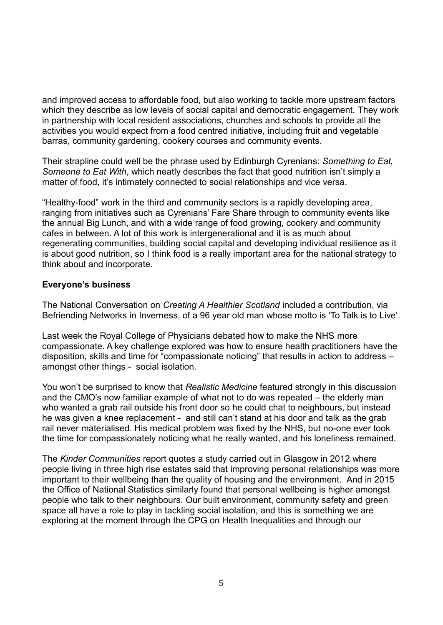and improved access to affordable food, but also working to tackle more upstream factors which they describe as low levels of social capital and democratic engagement. They work in partnership with local resident associations, churches and schools to provide all the activities you would expect from a food centred initiative, including fruit and vegetable barras, community gardening, cookery courses and community events.

Their strapline could well be the phrase used by Edinburgh Cyrenians: *Something to Eat, Someone to Eat With*, which neatly describes the fact that good nutrition isn't simply a matter of food, it's intimately connected to social relationships and vice versa.

"Healthy-food" work in the third and community sectors is a rapidly developing area, ranging from initiatives such as Cyrenians' Fare Share through to community events like the annual Big Lunch, and with a wide range of food growing, cookery and community cafes in between. A lot of this work is intergenerational and it is as much about regenerating communities, building social capital and developing individual resilience as it is about good nutrition, so I think food is a really important area for the national strategy to think about and incorporate.

## **Everyone's business**

The National Conversation on *Creating A Healthier Scotland* included a contribution, via Befriending Networks in Inverness, of a 96 year old man whose motto is 'To Talk is to Live'.

Last week the Royal College of Physicians debated how to make the NHS more compassionate. A key challenge explored was how to ensure health practitioners have the disposition, skills and time for "compassionate noticing" that results in action to address – amongst other things - social isolation.

You won't be surprised to know that *Realistic Medicine* featured strongly in this discussion and the CMO's now familiar example of what not to do was repeated – the elderly man who wanted a grab rail outside his front door so he could chat to neighbours, but instead he was given a knee replacement - and still can't stand at his door and talk as the grab rail never materialised. His medical problem was fixed by the NHS, but no-one ever took the time for compassionately noticing what he really wanted, and his loneliness remained.

The *Kinder Communities* report quotes a study carried out in Glasgow in 2012 where people living in three high rise estates said that improving personal relationships was more important to their wellbeing than the quality of housing and the environment. And in 2015 the Office of National Statistics similarly found that personal wellbeing is higher amongst people who talk to their neighbours. Our built environment, community safety and green space all have a role to play in tackling social isolation, and this is something we are exploring at the moment through the CPG on Health Inequalities and through our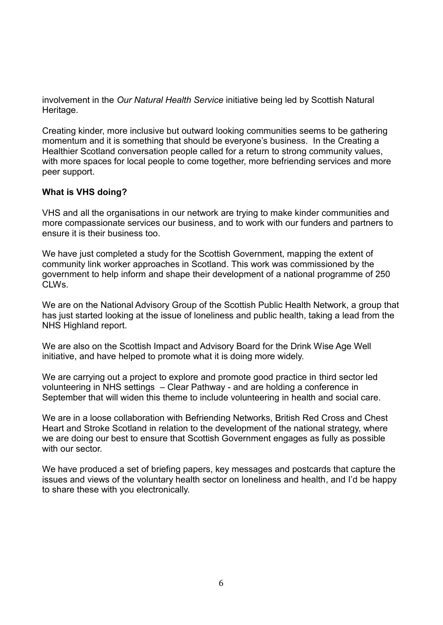involvement in the *Our Natural Health Service* initiative being led by Scottish Natural Heritage.

Creating kinder, more inclusive but outward looking communities seems to be gathering momentum and it is something that should be everyone's business. In the Creating a Healthier Scotland conversation people called for a return to strong community values, with more spaces for local people to come together, more befriending services and more peer support.

# **What is VHS doing?**

VHS and all the organisations in our network are trying to make kinder communities and more compassionate services our business, and to work with our funders and partners to ensure it is their business too.

We have just completed a study for the Scottish Government, mapping the extent of community link worker approaches in Scotland. This work was commissioned by the government to help inform and shape their development of a national programme of 250 CLWs.

We are on the National Advisory Group of the Scottish Public Health Network, a group that has just started looking at the issue of loneliness and public health, taking a lead from the NHS Highland report.

We are also on the Scottish Impact and Advisory Board for the Drink Wise Age Well initiative, and have helped to promote what it is doing more widely.

We are carrying out a project to explore and promote good practice in third sector led volunteering in NHS settings – Clear Pathway - and are holding a conference in September that will widen this theme to include volunteering in health and social care.

We are in a loose collaboration with Befriending Networks, British Red Cross and Chest Heart and Stroke Scotland in relation to the development of the national strategy, where we are doing our best to ensure that Scottish Government engages as fully as possible with our sector

We have produced a set of briefing papers, key messages and postcards that capture the issues and views of the voluntary health sector on loneliness and health, and I'd be happy to share these with you electronically.